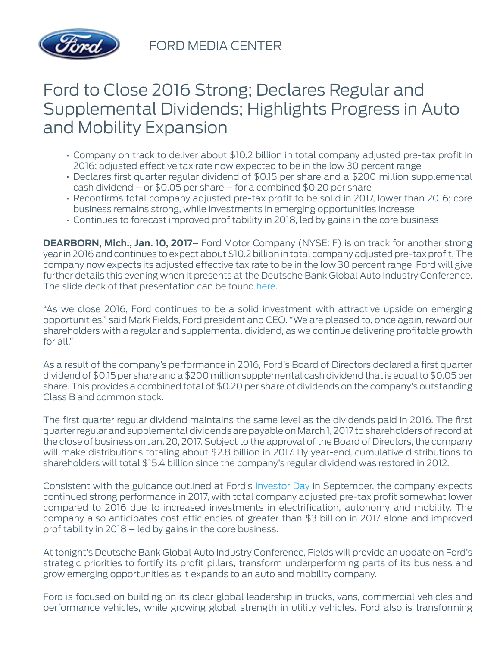

FORD MEDIA CENTER

## Ford to Close 2016 Strong; Declares Regular and Supplemental Dividends; Highlights Progress in Auto and Mobility Expansion

- Company on track to deliver about \$10.2 billion in total company adjusted pre-tax profit in 2016; adjusted effective tax rate now expected to be in the low 30 percent range
- Declares first quarter regular dividend of \$0.15 per share and a \$200 million supplemental cash dividend – or \$0.05 per share – for a combined \$0.20 per share
- Reconfirms total company adjusted pre-tax profit to be solid in 2017, lower than 2016; core business remains strong, while investments in emerging opportunities increase
- Continues to forecast improved profitability in 2018, led by gains in the core business

**DEARBORN, Mich., Jan. 10, 2017**– Ford Motor Company (NYSE: F) is on track for another strong year in 2016 and continues to expect about \$10.2 billion intotal company adjusted pre-tax profit. The company now expects its adjusted effective tax rate to be in the low 30 percent range. Ford will give further details this evening when it presents at the Deutsche Bank Global Auto Industry Conference. The slide deck of that presentation can be found [here.](http://corporate.ford.com/investors/investor-events/event-details/ford-ceo-mark-fields-to-present-at-deutsche-bank-global-auto-ind0.html)

"As we close 2016, Ford continues to be a solid investment with attractive upside on emerging opportunities," said Mark Fields, Ford president and CEO. "We are pleased to, once again, reward our shareholders with a regular and supplemental dividend, as we continue delivering profitable growth for all."

As a result of the company's performance in 2016, Ford's Board of Directors declared a first quarter dividend of \$0.15 per share and a \$200 million supplemental cash dividend that is equal to \$0.05 per share. This provides a combined total of \$0.20 per share of dividends on the company's outstanding Class B and common stock.

The first quarter regular dividend maintains the same level as the dividends paid in 2016. The first quarter regular and supplemental dividends are payable on March 1, 2017 to shareholders of record at the close of business on Jan. 20, 2017. Subject to the approval of the Board of Directors, the company will make distributions totaling about \$2.8 billion in 2017. By year-end, cumulative distributions to shareholders will total \$15.4 billion since the company's regular dividend was restored in 2012.

Consistent with the guidance outlined at Ford's [Investor Day](https://media.ford.com/content/fordmedia/fna/us/en/news/2016/09/14/ford-outlines-growth-plan.html) in September, the company expects continued strong performance in 2017, with total company adjusted pre-tax profit somewhat lower compared to 2016 due to increased investments in electrification, autonomy and mobility. The company also anticipates cost efficiencies of greater than \$3 billion in 2017 alone and improved profitability in 2018 – led by gains in the core business.

At tonight's Deutsche Bank Global Auto Industry Conference, Fields will provide an update on Ford's strategic priorities to fortify its profit pillars, transform underperforming parts of its business and grow emerging opportunities as it expands to an auto and mobility company.

Ford is focused on building on its clear global leadership in trucks, vans, commercial vehicles and performance vehicles, while growing global strength in utility vehicles. Ford also is transforming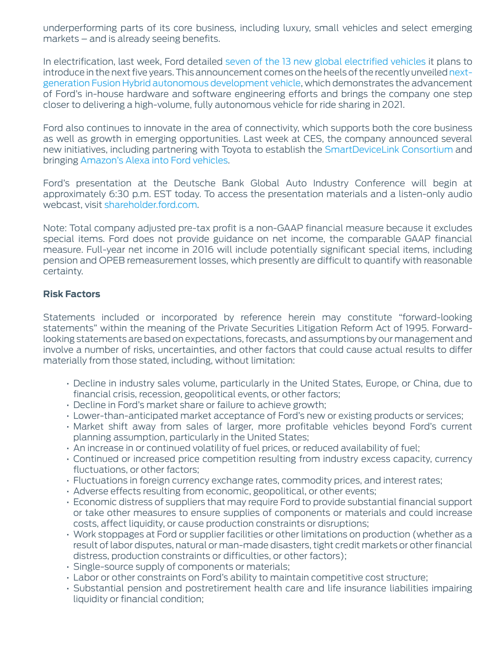underperforming parts of its core business, including luxury, small vehicles and select emerging markets – and is already seeing benefits.

In electrification, last week, Ford detailed [seven of the 13 new global electrified vehicles](https://media.ford.com/content/fordmedia/fna/us/en/news/2017/01/03/ford-adding-electrified-f-150-mustang-transit-by-2020.html) it plans to introduce in the next five years. This announcement comes on the heels of the recently unveiled [next](https://media.ford.com/content/fordmedia/fna/us/en/news/2016/12/28/ford-debuts-next-generation-fusion-hybrid-autonomous-development.html)[generation Fusion Hybrid autonomous development vehicle](https://media.ford.com/content/fordmedia/fna/us/en/news/2016/12/28/ford-debuts-next-generation-fusion-hybrid-autonomous-development.html), which demonstrates the advancement of Ford's in-house hardware and software engineering efforts and brings the company one step closer to delivering a high-volume, fully autonomous vehicle for ride sharing in 2021.

Ford also continues to innovate in the area of connectivity, which supports both the core business as well as growth in emerging opportunities. Last week at CES, the company announced several new initiatives, including partnering with Toyota to establish the [SmartDeviceLink Consortium](https://media.ford.com/content/fordmedia/fna/us/en/news/2017/01/04/ford-and-toyota-establish-smartdevicelink-consortium.html) and bringing [Amazon's Alexa into Ford vehicles](https://media.ford.com/content/fordmedia/fna/us/en/news/2017/01/04/alexa-car-ford-amazon-shop-search-home.html).

Ford's presentation at the Deutsche Bank Global Auto Industry Conference will begin at approximately 6:30 p.m. EST today. To access the presentation materials and a listen-only audio webcast, visit [shareholder.ford.com](http://www.shareholder.ford.com/).

Note: Total company adjusted pre-tax profit is a non-GAAP financial measure because it excludes special items. Ford does not provide guidance on net income, the comparable GAAP financial measure. Full-year net income in 2016 will include potentially significant special items, including pension and OPEB remeasurement losses, which presently are difficult to quantify with reasonable certainty.

## **Risk Factors**

Statements included or incorporated by reference herein may constitute "forward-looking statements" within the meaning of the Private Securities Litigation Reform Act of 1995. Forwardlooking statements are based on expectations, forecasts, and assumptions by our management and involve a number of risks, uncertainties, and other factors that could cause actual results to differ materially from those stated, including, without limitation:

- Decline in industry sales volume, particularly in the United States, Europe, or China, due to financial crisis, recession, geopolitical events, or other factors;
- Decline in Ford's market share or failure to achieve growth;
- Lower-than-anticipated market acceptance of Ford's new or existing products or services;
- Market shift away from sales of larger, more profitable vehicles beyond Ford's current planning assumption, particularly in the United States;
- An increase in or continued volatility of fuel prices, or reduced availability of fuel;
- Continued or increased price competition resulting from industry excess capacity, currency fluctuations, or other factors;
- Fluctuations in foreign currency exchange rates, commodity prices, and interest rates;
- Adverse effects resulting from economic, geopolitical, or other events;
- Economic distress of suppliers that may require Ford to provide substantial financial support or take other measures to ensure supplies of components or materials and could increase costs, affect liquidity, or cause production constraints or disruptions;
- Work stoppages at Ford or supplier facilities or other limitations on production (whether as a result of labor disputes, natural or man-made disasters, tight credit markets or other financial distress, production constraints or difficulties, or other factors);
- Single-source supply of components or materials;
- Labor or other constraints on Ford's ability to maintain competitive cost structure;
- Substantial pension and postretirement health care and life insurance liabilities impairing liquidity or financial condition;